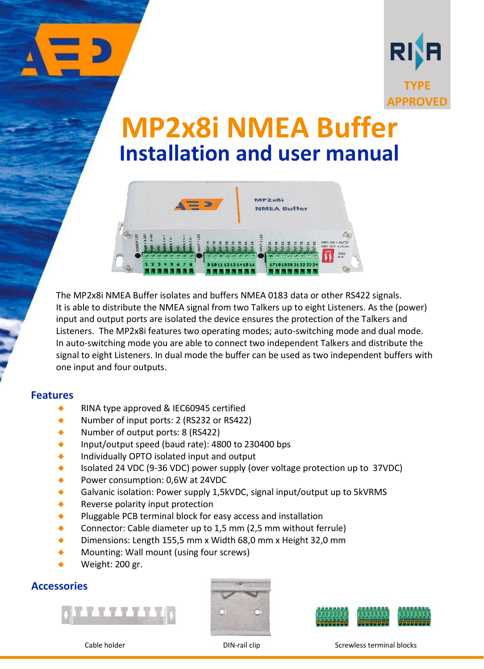

# **MP2x8i NMEA Buffer Installation and user manual**



The MP2x8i NMEA Buffer isolates and buffers NMEA 0183 data or other RS422 signals. It is able to distribute the NMEA signal from two Talkers up to eight Listeners. As the (power) input and output ports are isolated the device ensures the protection of the Talkers and Listeners. The MP2x8i features two operating modes; auto-switching mode and dual mode. In auto-switching mode you are able to connect two independent Talkers and distribute the signal to eight Listeners. In dual mode the buffer can be used as two independent buffers with one input and four outputs.

#### **Features**

- RINA type approved & IEC60945 certified
- Number of input ports: 2 (RS232 or RS422)
- Number of output ports: 8 (RS422)
- Input/output speed (baud rate): 4800 to 230400 bps
- Individually OPTO isolated input and output
- ◆ Isolated 24 VDC (9-36 VDC) power supply (over voltage protection up to 37VDC)
- ◆ Power consumption: 0,6W at 24VDC
- Galvanic isolation: Power supply 1,5kVDC, signal input/output up to 5kVRMS
- **Reverse polarity input protection**
- ◆ Pluggable PCB terminal block for easy access and installation
- Connector: Cable diameter up to 1,5 mm (2,5 mm without ferrule)
- Dimensions: Length 155,5 mm x Width 68,0 mm x Height 32,0 mm
- Mounting: Wall mount (using four screws)
- Weight: 200 gr.

### **Accessories**







Cable holder DIN-rail clip Screwless terminal blocks